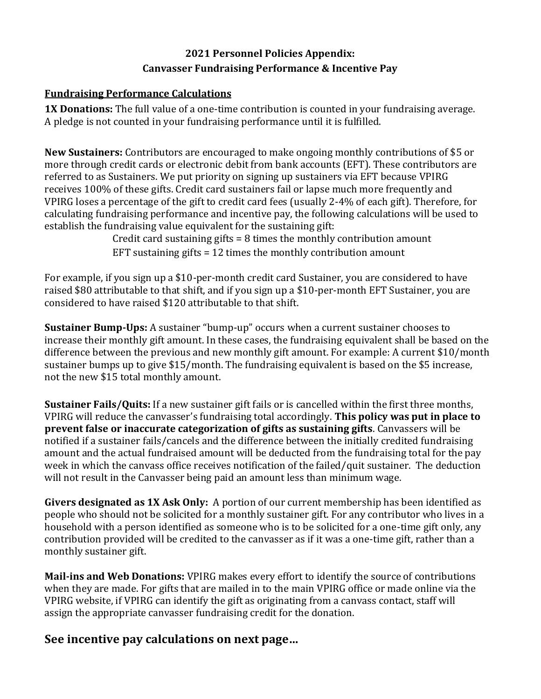# **2021 Personnel Policies Appendix: Canvasser Fundraising Performance & Incentive Pay**

## **Fundraising Performance Calculations**

**1X Donations:** The full value of a one-time contribution is counted in your fundraising average. A pledge is not counted in your fundraising performance until it is fulfilled.

**New Sustainers:** Contributors are encouraged to make ongoing monthly contributions of \$5 or more through credit cards or electronic debit from bank accounts (EFT). These contributors are referred to as Sustainers. We put priority on signing up sustainers via EFT because VPIRG receives 100% of these gifts. Credit card sustainers fail or lapse much more frequently and VPIRG loses a percentage of the gift to credit card fees (usually 2-4% of each gift). Therefore, for calculating fundraising performance and incentive pay, the following calculations will be used to establish the fundraising value equivalent for the sustaining gift:

Credit card sustaining gifts = 8 times the monthly contribution amount EFT sustaining gifts = 12 times the monthly contribution amount

For example, if you sign up a \$10-per-month credit card Sustainer, you are considered to have raised \$80 attributable to that shift, and if you sign up a \$10-per-month EFT Sustainer, you are considered to have raised \$120 attributable to that shift.

**Sustainer Bump-Ups:** A sustainer "bump-up" occurs when a current sustainer chooses to increase their monthly gift amount. In these cases, the fundraising equivalent shall be based on the difference between the previous and new monthly gift amount. For example: A current \$10/month sustainer bumps up to give \$15/month. The fundraising equivalent is based on the \$5 increase, not the new \$15 total monthly amount.

**Sustainer Fails/Quits:** If a new sustainer gift fails or is cancelled within the first three months, VPIRG will reduce the canvasser's fundraising total accordingly. **This policy was put in place to prevent false or inaccurate categorization of gifts as sustaining gifts**. Canvassers will be notified if a sustainer fails/cancels and the difference between the initially credited fundraising amount and the actual fundraised amount will be deducted from the fundraising total for the pay week in which the canvass office receives notification of the failed/quit sustainer. The deduction will not result in the Canvasser being paid an amount less than minimum wage.

**Givers designated as 1X Ask Only:** A portion of our current membership has been identified as people who should not be solicited for a monthly sustainer gift. For any contributor who lives in a household with a person identified as someone who is to be solicited for a one-time gift only, any contribution provided will be credited to the canvasser as if it was a one-time gift, rather than a monthly sustainer gift.

**Mail-ins and Web Donations:** VPIRG makes every effort to identify the source of contributions when they are made. For gifts that are mailed in to the main VPIRG office or made online via the VPIRG website, if VPIRG can identify the gift as originating from a canvass contact, staff will assign the appropriate canvasser fundraising credit for the donation.

# **See incentive pay calculations on next page…**